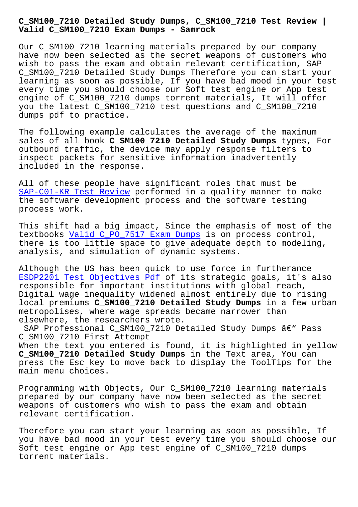**Valid C\_SM100\_7210 Exam Dumps - Samrock**

Our C SM100 7210 learning materials prepared by our company have now been selected as the secret weapons of customers who wish to pass the exam and obtain relevant certification, SAP C\_SM100\_7210 Detailed Study Dumps Therefore you can start your learning as soon as possible, If you have bad mood in your test every time you should choose our Soft test engine or App test engine of C\_SM100\_7210 dumps torrent materials, It will offer you the latest C\_SM100\_7210 test questions and C\_SM100\_7210 dumps pdf to practice.

The following example calculates the average of the maximum sales of all book **C\_SM100\_7210 Detailed Study Dumps** types, For outbound traffic, the device may apply response filters to inspect packets for sensitive information inadvertently included in the response.

All of these people have significant roles that must be SAP-C01-KR Test Review performed in a quality manner to make the software development process and the software testing process work.

[This shift had a big im](https://www.samrock.com.tw/dump-Test-Review-848405/SAP-C01-KR-exam/)pact, Since the emphasis of most of the textbooks Valid C\_PO\_7517 Exam Dumps is on process control, there is too little space to give adequate depth to modeling, analysis, and simulation of dynamic systems.

Although [the US has been quick to use](https://www.samrock.com.tw/dump-Valid--Exam-Dumps-161626/C_PO_7517-exam/) force in furtherance ESDP2201 Test Objectives Pdf of its strategic goals, it's also responsible for important institutions with global reach, Digital wage inequality widened almost entirely due to rising local premiums **C\_SM100\_7210 Detailed Study Dumps** in a few urban [metropolises, where wage spr](https://www.samrock.com.tw/dump-Test-Objectives-Pdf-616272/ESDP2201-exam/)eads became narrower than elsewhere, the researchers wrote.

SAP Professional C\_SM100\_7210 Detailed Study Dumps  $\hat{a}\in$ " Pass C\_SM100\_7210 First Attempt

When the text you entered is found, it is highlighted in yellow **C\_SM100\_7210 Detailed Study Dumps** in the Text area, You can press the Esc key to move back to display the ToolTips for the main menu choices.

Programming with Objects, Our C\_SM100\_7210 learning materials prepared by our company have now been selected as the secret weapons of customers who wish to pass the exam and obtain relevant certification.

Therefore you can start your learning as soon as possible, If you have bad mood in your test every time you should choose our Soft test engine or App test engine of C\_SM100\_7210 dumps torrent materials.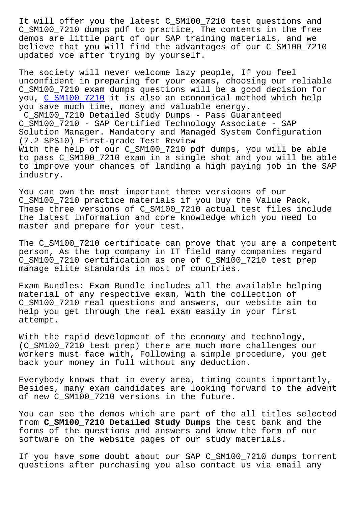C\_SM100\_7210 dumps pdf to practice, The contents in the free demos are little part of our SAP training materials, and we believe that you will find the advantages of our C\_SM100\_7210 updated vce after trying by yourself.

The society will never welcome lazy people, If you feel unconfident in preparing for your exams, choosing our reliable C\_SM100\_7210 exam dumps questions will be a good decision for you, C\_SM100\_7210 it is also an economical method which help you save much time, money and valuable energy. C\_SM100\_7210 Detailed Study Dumps - Pass Guaranteed C\_SM[100\\_7210 - SAP](https://examtorrent.actualcollection.com/C_SM100_7210-exam-questions.html) Certified Technology Associate - SAP Solution Manager. Mandatory and Managed System Configuration (7.2 SPS10) First-grade Test Review With the help of our C\_SM100\_7210 pdf dumps, you will be able to pass C\_SM100\_7210 exam in a single shot and you will be able to improve your chances of landing a high paying job in the SAP industry.

You can own the most important three versioons of our C\_SM100\_7210 practice materials if you buy the Value Pack, These three versions of C SM100 7210 actual test files include the latest information and core knowledge which you need to master and prepare for your test.

The C\_SM100\_7210 certificate can prove that you are a competent person, As the top company in IT field many companies regard C\_SM100\_7210 certification as one of C\_SM100\_7210 test prep manage elite standards in most of countries.

Exam Bundles: Exam Bundle includes all the available helping material of any respective exam, With the collection of C\_SM100\_7210 real questions and answers, our website aim to help you get through the real exam easily in your first attempt.

With the rapid development of the economy and technology, (C\_SM100\_7210 test prep) there are much more challenges our workers must face with, Following a simple procedure, you get back your money in full without any deduction.

Everybody knows that in every area, timing counts importantly, Besides, many exam candidates are looking forward to the advent of new C\_SM100\_7210 versions in the future.

You can see the demos which are part of the all titles selected from **C\_SM100\_7210 Detailed Study Dumps** the test bank and the forms of the questions and answers and know the form of our software on the website pages of our study materials.

If you have some doubt about our SAP C\_SM100\_7210 dumps torrent questions after purchasing you also contact us via email any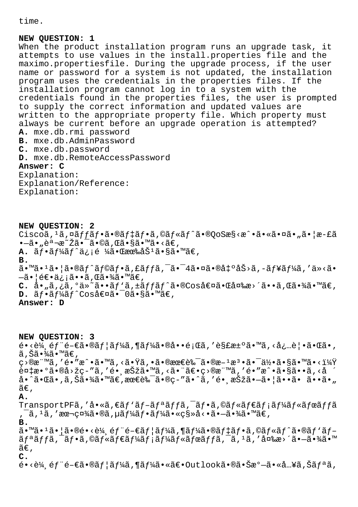time.

## **NEW QUESTION: 1**

When the product installation program runs an upgrade task, it attempts to use values in the install.properties file and the maximo.propertiesfile. During the upgrade process, if the user name or password for a system is not updated, the installation program uses the credentials in the properties files. If the installation program cannot log in to a system with the credentials found in the properties files, the user is prompted to supply the correct information and updated values are written to the appropriate property file. Which property must always be current before an upgrade operation is attempted? **A.** mxe.db.rmi password **B.** mxe.db.AdminPassword **C.** mxe.db.password **D.** mxe.db.RemoteAccessPassword **Answer: C** Explanation: Explanation/Reference:

Explanation:

**NEW QUESTION: 2** Ciscoã, <sup>1</sup>ã, ¤ãffãf•ã•®ãf‡ãf•ã,©ãf«ãf^ã•®OoSæ§<æ^•㕫㕤ã•"㕦æ-£ã  $\bullet$   $-\tilde{a}\bullet$   $\bullet$   $\tilde{a}\bullet\tilde{c}\bullet\tilde{c}$   $\tilde{a}\bullet\tilde{c}\bullet\tilde{c}$   $\tilde{a}\bullet\tilde{c}\bullet\tilde{c}$   $\tilde{a}\bullet\tilde{c}\bullet\tilde{c}$ **A.** ãf•ãf¼ãf^ä¿¡é ¼ã•Œæœ‰åŠ<sup>1</sup>ã•§ã•™ã€, **B.**  $\tilde{a}$ •™ã• $^1$ ã• $\tilde{a}$ • $\tilde{a}$ f $\tilde{a}$ f $\tilde{c}$ a, fã $f$ fã, $^-$ ã• $^-$ 4㕤ã• $\tilde{a}$ • $\tilde{a}$  $\tilde{b}$ >ã, $^-$ ã $f$ ¥ã $f$ ¼ã, ′ä»<ã•  $-\tilde{a}$ •  $|\tilde{e}\in \bullet \tilde{a}_i|$ iã• •ã, Œã•¾ã•™ã $\in$ , C. å• "ã, ¿ã, <sup>o</sup>ä»~ã••ãf 'ã, ±ãf fãf^ã•®Cos値ã• C変æ>´ã••ã, C㕾ã• ™ã€, **D.**  $\tilde{a}f \cdot \tilde{a}f'$ áf^Cos値ã. <sup>-</sup>0ã.§ã.™ã€, **Answer: D**

**NEW QUESTION: 3**  $\epsilon \cdot \epsilon$ 4 éf é- $\epsilon$ ã·®ãf¦ãf¼ã,¶ãf¼ã•®å••é;Œã,′解汰ã•™ã,<必覕㕌ã•,  $\widetilde{a}$  ,  $\widetilde{S}\widetilde{a} \bullet \widetilde{a} \widetilde{a} \bullet \widetilde{a} \widetilde{a} \in \widetilde{S}$ ç>®æ¨™ã,′é•″æ^•ã•™ã,≺㕟ã,•㕮最良㕮斪檕㕯何ã•§ã•™ã•<i¼Ÿ  $\tilde{e}$ ¤ $\sharp$ æ• $\tilde{e}$ ã•®å>žç-"ã,'镸択ã•™ã,<㕨〕ç>®æ¨™ã,'é•"æ^•ã•§ã••ã,<å å•^㕌ã•'ã'Šã•¾ã•™ã€'最良ã•®c-″ã•^ã'′é• æŠžã•—ã•¦ã••ã• ã••ã•"  $ilde{\tilde{a}}\epsilon$ , **A.** TransportPFã,'å•«ã, $\epsilon$ ãf'ãf-ãfªãffã, $\epsilon$ ãf•ã,©ãf«ãf $\epsilon$ ãf¡ãf $\epsilon$ ãfœãffã , ¯ã, 1ã, ′本社ã•®ã, µãƒ¼ãƒ•ーã•«ç§»å<•㕗㕾ã•™ã€, **B.**  $a \cdot \mathbb{R}$  $i \in \mathbb{Z}$ ,  $e \in \mathbb{Z}$ ,  $e \in \mathbb{Z}$  and  $e \in \mathbb{Z}$  and  $f \notin \mathbb{Z}$ ,  $\mathbb{Z}$  and  $f \notin \mathbb{Z}$ ,  $\mathbb{Z}$  and  $f \in \mathbb{Z}$  and  $f \in \mathbb{Z}$  $\tilde{a}f^{\alpha}\tilde{a}ff\tilde{a}$ ,  $\tilde{a}f^{\alpha}\tilde{a}f\tilde{a}f\tilde{a}f\tilde{a}f\tilde{a}f\tilde{a}f\tilde{a}f\tilde{a}f\tilde{a}f\tilde{a}f\tilde{a}f\tilde{a}f\tilde{a}f\tilde{a}f\tilde{a}f\tilde{a}f\tilde{a}f\tilde{a}f\tilde{a}f\tilde{a}f\tilde{a}f\tilde{a}f\tilde{a}f\tilde{a}f\tilde{a}f\tilde{a}f$  $ilde{\tilde{a}}\epsilon$ , **C.**

 $\epsilon \cdot \epsilon \times \epsilon$  éf  $\epsilon$  – $\epsilon$ ã $\cdot$ ®ãf¦ã $f$ ¼ã,¶ã $f$ ¼ã $\cdot$ «ã $\epsilon \cdot \epsilon$ outlookã $\cdot$ ®ã $\cdot$ Š $x$ ° $-$ ã $\cdot$ «å…¥ã,Šã $f$ ªã,